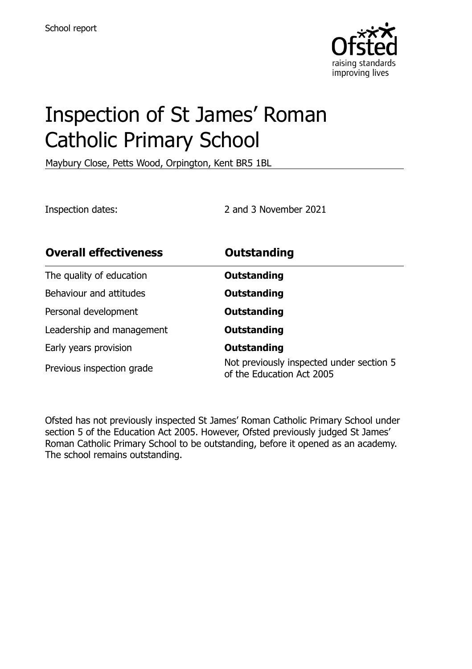

# Inspection of St James' Roman Catholic Primary School

Maybury Close, Petts Wood, Orpington, Kent BR5 1BL

Inspection dates: 2 and 3 November 2021

| <b>Overall effectiveness</b> | <b>Outstanding</b>                                                    |
|------------------------------|-----------------------------------------------------------------------|
| The quality of education     | Outstanding                                                           |
| Behaviour and attitudes      | Outstanding                                                           |
| Personal development         | <b>Outstanding</b>                                                    |
| Leadership and management    | Outstanding                                                           |
| Early years provision        | <b>Outstanding</b>                                                    |
| Previous inspection grade    | Not previously inspected under section 5<br>of the Education Act 2005 |

Ofsted has not previously inspected St James' Roman Catholic Primary School under section 5 of the Education Act 2005. However, Ofsted previously judged St James' Roman Catholic Primary School to be outstanding, before it opened as an academy. The school remains outstanding.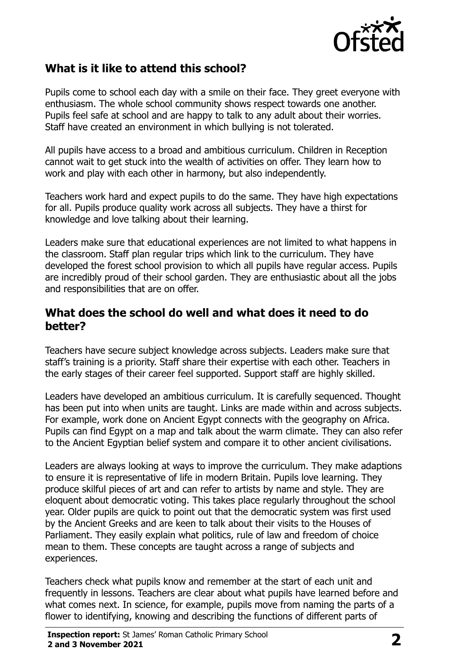

## **What is it like to attend this school?**

Pupils come to school each day with a smile on their face. They greet everyone with enthusiasm. The whole school community shows respect towards one another. Pupils feel safe at school and are happy to talk to any adult about their worries. Staff have created an environment in which bullying is not tolerated.

All pupils have access to a broad and ambitious curriculum. Children in Reception cannot wait to get stuck into the wealth of activities on offer. They learn how to work and play with each other in harmony, but also independently.

Teachers work hard and expect pupils to do the same. They have high expectations for all. Pupils produce quality work across all subjects. They have a thirst for knowledge and love talking about their learning.

Leaders make sure that educational experiences are not limited to what happens in the classroom. Staff plan regular trips which link to the curriculum. They have developed the forest school provision to which all pupils have regular access. Pupils are incredibly proud of their school garden. They are enthusiastic about all the jobs and responsibilities that are on offer.

#### **What does the school do well and what does it need to do better?**

Teachers have secure subject knowledge across subjects. Leaders make sure that staff's training is a priority. Staff share their expertise with each other. Teachers in the early stages of their career feel supported. Support staff are highly skilled.

Leaders have developed an ambitious curriculum. It is carefully sequenced. Thought has been put into when units are taught. Links are made within and across subjects. For example, work done on Ancient Egypt connects with the geography on Africa. Pupils can find Egypt on a map and talk about the warm climate. They can also refer to the Ancient Egyptian belief system and compare it to other ancient civilisations.

Leaders are always looking at ways to improve the curriculum. They make adaptions to ensure it is representative of life in modern Britain. Pupils love learning. They produce skilful pieces of art and can refer to artists by name and style. They are eloquent about democratic voting. This takes place regularly throughout the school year. Older pupils are quick to point out that the democratic system was first used by the Ancient Greeks and are keen to talk about their visits to the Houses of Parliament. They easily explain what politics, rule of law and freedom of choice mean to them. These concepts are taught across a range of subjects and experiences.

Teachers check what pupils know and remember at the start of each unit and frequently in lessons. Teachers are clear about what pupils have learned before and what comes next. In science, for example, pupils move from naming the parts of a flower to identifying, knowing and describing the functions of different parts of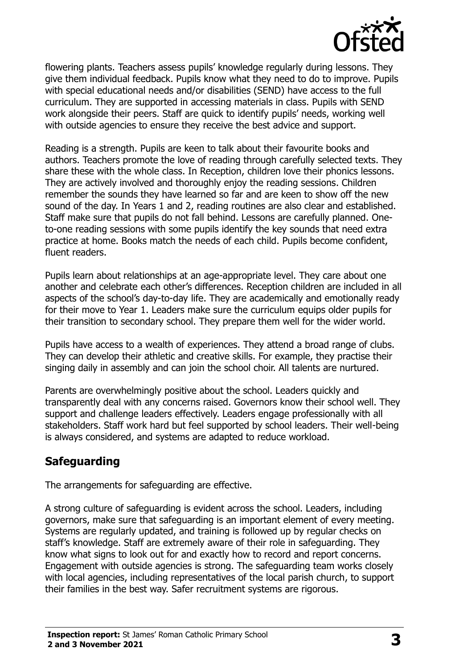

flowering plants. Teachers assess pupils' knowledge regularly during lessons. They give them individual feedback. Pupils know what they need to do to improve. Pupils with special educational needs and/or disabilities (SEND) have access to the full curriculum. They are supported in accessing materials in class. Pupils with SEND work alongside their peers. Staff are quick to identify pupils' needs, working well with outside agencies to ensure they receive the best advice and support.

Reading is a strength. Pupils are keen to talk about their favourite books and authors. Teachers promote the love of reading through carefully selected texts. They share these with the whole class. In Reception, children love their phonics lessons. They are actively involved and thoroughly enjoy the reading sessions. Children remember the sounds they have learned so far and are keen to show off the new sound of the day. In Years 1 and 2, reading routines are also clear and established. Staff make sure that pupils do not fall behind. Lessons are carefully planned. Oneto-one reading sessions with some pupils identify the key sounds that need extra practice at home. Books match the needs of each child. Pupils become confident, fluent readers.

Pupils learn about relationships at an age-appropriate level. They care about one another and celebrate each other's differences. Reception children are included in all aspects of the school's day-to-day life. They are academically and emotionally ready for their move to Year 1. Leaders make sure the curriculum equips older pupils for their transition to secondary school. They prepare them well for the wider world.

Pupils have access to a wealth of experiences. They attend a broad range of clubs. They can develop their athletic and creative skills. For example, they practise their singing daily in assembly and can join the school choir. All talents are nurtured.

Parents are overwhelmingly positive about the school. Leaders quickly and transparently deal with any concerns raised. Governors know their school well. They support and challenge leaders effectively. Leaders engage professionally with all stakeholders. Staff work hard but feel supported by school leaders. Their well-being is always considered, and systems are adapted to reduce workload.

## **Safeguarding**

The arrangements for safeguarding are effective.

A strong culture of safeguarding is evident across the school. Leaders, including governors, make sure that safeguarding is an important element of every meeting. Systems are regularly updated, and training is followed up by regular checks on staff's knowledge. Staff are extremely aware of their role in safeguarding. They know what signs to look out for and exactly how to record and report concerns. Engagement with outside agencies is strong. The safeguarding team works closely with local agencies, including representatives of the local parish church, to support their families in the best way. Safer recruitment systems are rigorous.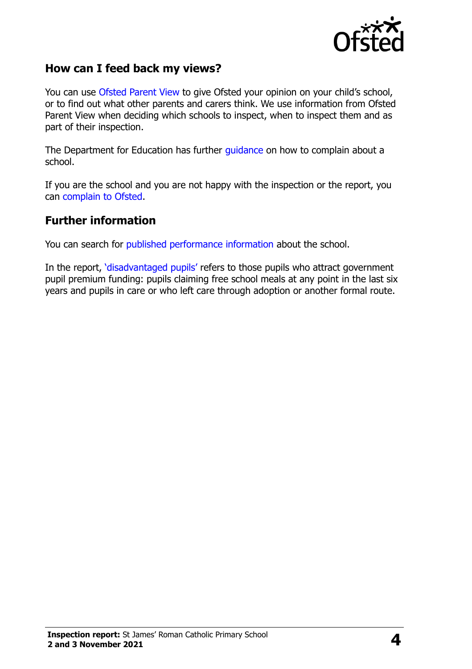

### **How can I feed back my views?**

You can use [Ofsted Parent View](http://parentview.ofsted.gov.uk/) to give Ofsted your opinion on your child's school, or to find out what other parents and carers think. We use information from Ofsted Parent View when deciding which schools to inspect, when to inspect them and as part of their inspection.

The Department for Education has further [guidance](http://www.gov.uk/complain-about-school) on how to complain about a school.

If you are the school and you are not happy with the inspection or the report, you can [complain to Ofsted.](http://www.gov.uk/complain-ofsted-report)

#### **Further information**

You can search for [published performance information](http://www.compare-school-performance.service.gov.uk/) about the school.

In the report, '[disadvantaged pupils](http://www.gov.uk/guidance/pupil-premium-information-for-schools-and-alternative-provision-settings)' refers to those pupils who attract government pupil premium funding: pupils claiming free school meals at any point in the last six years and pupils in care or who left care through adoption or another formal route.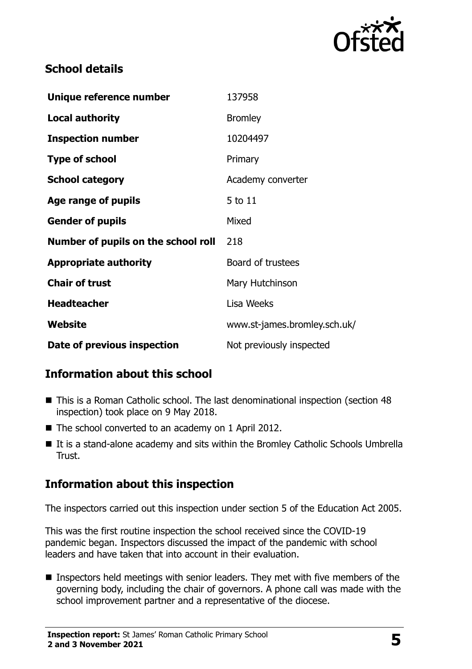

## **School details**

| Unique reference number             | 137958                       |
|-------------------------------------|------------------------------|
| <b>Local authority</b>              | <b>Bromley</b>               |
| <b>Inspection number</b>            | 10204497                     |
| <b>Type of school</b>               | Primary                      |
| <b>School category</b>              | Academy converter            |
| Age range of pupils                 | 5 to 11                      |
| <b>Gender of pupils</b>             | Mixed                        |
| Number of pupils on the school roll | 218                          |
| <b>Appropriate authority</b>        | Board of trustees            |
| <b>Chair of trust</b>               | Mary Hutchinson              |
| <b>Headteacher</b>                  | Lisa Weeks                   |
| Website                             | www.st-james.bromley.sch.uk/ |
| Date of previous inspection         | Not previously inspected     |

## **Information about this school**

- This is a Roman Catholic school. The last denominational inspection (section 48 inspection) took place on 9 May 2018.
- The school converted to an academy on 1 April 2012.
- It is a stand-alone academy and sits within the Bromley Catholic Schools Umbrella Trust.

## **Information about this inspection**

The inspectors carried out this inspection under section 5 of the Education Act 2005.

This was the first routine inspection the school received since the COVID-19 pandemic began. Inspectors discussed the impact of the pandemic with school leaders and have taken that into account in their evaluation.

■ Inspectors held meetings with senior leaders. They met with five members of the governing body, including the chair of governors. A phone call was made with the school improvement partner and a representative of the diocese.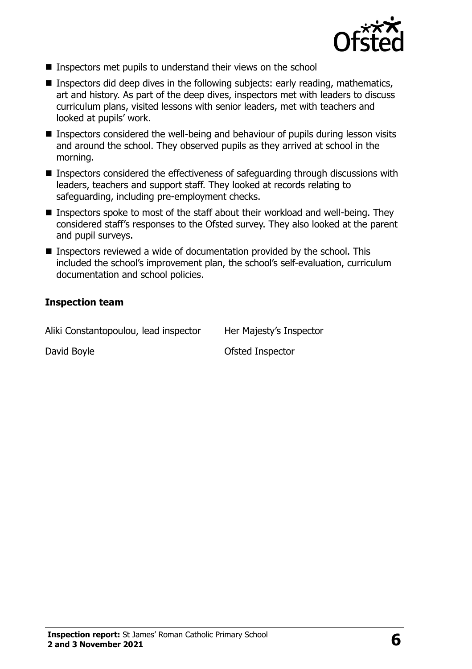

- **Inspectors met pupils to understand their views on the school**
- **Inspectors did deep dives in the following subjects: early reading, mathematics,** art and history. As part of the deep dives, inspectors met with leaders to discuss curriculum plans, visited lessons with senior leaders, met with teachers and looked at pupils' work.
- Inspectors considered the well-being and behaviour of pupils during lesson visits and around the school. They observed pupils as they arrived at school in the morning.
- Inspectors considered the effectiveness of safeguarding through discussions with leaders, teachers and support staff. They looked at records relating to safeguarding, including pre-employment checks.
- Inspectors spoke to most of the staff about their workload and well-being. They considered staff's responses to the Ofsted survey. They also looked at the parent and pupil surveys.
- Inspectors reviewed a wide of documentation provided by the school. This included the school's improvement plan, the school's self-evaluation, curriculum documentation and school policies.

#### **Inspection team**

Aliki Constantopoulou, lead inspector Her Majesty's Inspector

David Boyle **David Boyle David Boyle Ofsted Inspector**